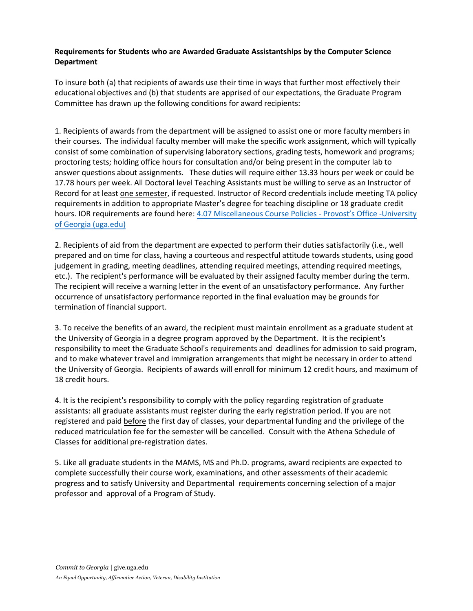## **Requirements for Students who are Awarded Graduate Assistantships by the Computer Science Department**

To insure both (a) that recipients of awards use their time in ways that further most effectively their educational objectives and (b) that students are apprised of our expectations, the Graduate Program Committee has drawn up the following conditions for award recipients:

1. Recipients of awards from the department will be assigned to assist one or more faculty members in their courses. The individual faculty member will make the specific work assignment, which will typically consist of some combination of supervising laboratory sections, grading tests, homework and programs; proctoring tests; holding office hours for consultation and/or being present in the computer lab to answer questions about assignments. These duties will require either 13.33 hours per week or could be 17.78 hours per week. All Doctoral level Teaching Assistants must be willing to serve as an Instructor of Record for at least one semester, if requested. Instructor of Record credentials include meeting TA policy requirements in addition to appropriate Master's degree for teaching discipline or 18 graduate credit hours. IOR requirements are found here: 4.07 Miscellaneous Course Policies - Provost's Office -University of Georgia (uga.edu)

2. Recipients of aid from the department are expected to perform their duties satisfactorily (i.e., well prepared and on time for class, having a courteous and respectful attitude towards students, using good judgement in grading, meeting deadlines, atten[ding required meetings, attending required](https://provost.uga.edu/policies/academic-affairs-policy-manual/4-07-miscellaneous-course-policies/#p-4-07-12) meetings, etc.). The recipient's performance will be evaluated by their assigned faculty member during the term. The recipient will receive a warning letter in the event of an unsatisfactory performance. Any further occurrence [of unsatisfactory perf](https://provost.uga.edu/policies/academic-affairs-policy-manual/4-07-miscellaneous-course-policies/#p-4-07-12)ormance reported in the final evaluation may be grounds for termination of financial support.

3. To receive the benefits of an award, the recipient must maintain enrollment as a graduate student at the University of Georgia in a degree program approved by the Department. It is the recipient's responsibility to meet the Graduate School's requirements and deadlines for admission to said program, and to make whatever travel and immigration arrangements that might be necessary in order to attend the University of Georgia. Recipients of awards will enroll for minimum 12 credit hours, and maximum of 18 credit hours.

4. It is the recipient's responsibility to comply with the policy regarding registration of graduate assistants: all graduate assistants must register during the early registration period. If you are not registered and paid before the first day of classes, your departmental funding and the privilege of the reduced matriculation fee for the semester will be cancelled. Consult with the Athena Schedule of Classes for additional pre-registration dates.

5. Like all graduate students in the MAMS, MS and Ph.D. programs, award recipients are expected to complete successfully their course work, examinations, and other assessments of their academic progress and to satisfy University and Departmental requirements concerning selection of a major professor and approval of a Program of Study.